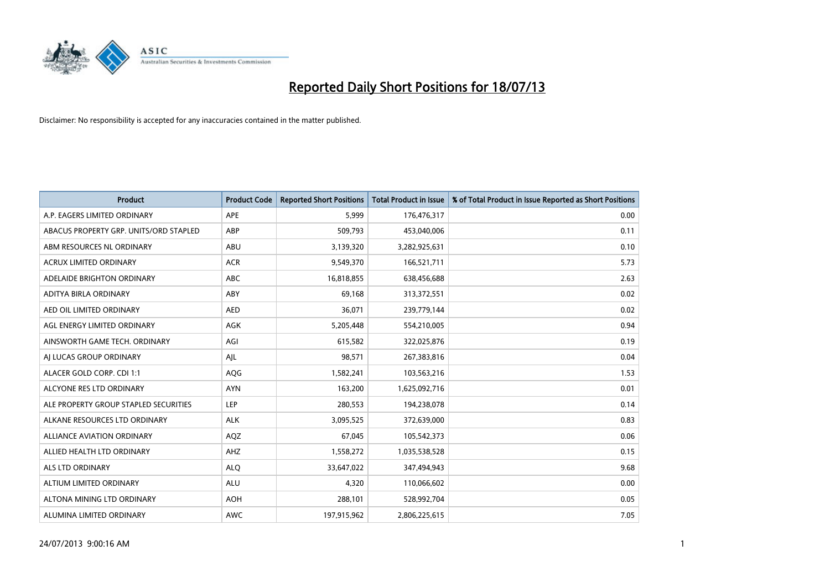

| <b>Product</b>                         | <b>Product Code</b> | <b>Reported Short Positions</b> | <b>Total Product in Issue</b> | % of Total Product in Issue Reported as Short Positions |
|----------------------------------------|---------------------|---------------------------------|-------------------------------|---------------------------------------------------------|
| A.P. EAGERS LIMITED ORDINARY           | APE                 | 5,999                           | 176,476,317                   | 0.00                                                    |
| ABACUS PROPERTY GRP. UNITS/ORD STAPLED | ABP                 | 509,793                         | 453,040,006                   | 0.11                                                    |
| ABM RESOURCES NL ORDINARY              | ABU                 | 3,139,320                       | 3,282,925,631                 | 0.10                                                    |
| <b>ACRUX LIMITED ORDINARY</b>          | <b>ACR</b>          | 9,549,370                       | 166,521,711                   | 5.73                                                    |
| ADELAIDE BRIGHTON ORDINARY             | <b>ABC</b>          | 16,818,855                      | 638,456,688                   | 2.63                                                    |
| ADITYA BIRLA ORDINARY                  | ABY                 | 69,168                          | 313,372,551                   | 0.02                                                    |
| AED OIL LIMITED ORDINARY               | <b>AED</b>          | 36,071                          | 239,779,144                   | 0.02                                                    |
| AGL ENERGY LIMITED ORDINARY            | <b>AGK</b>          | 5,205,448                       | 554,210,005                   | 0.94                                                    |
| AINSWORTH GAME TECH. ORDINARY          | AGI                 | 615,582                         | 322,025,876                   | 0.19                                                    |
| AI LUCAS GROUP ORDINARY                | AJL                 | 98,571                          | 267,383,816                   | 0.04                                                    |
| ALACER GOLD CORP. CDI 1:1              | AQG                 | 1,582,241                       | 103,563,216                   | 1.53                                                    |
| ALCYONE RES LTD ORDINARY               | <b>AYN</b>          | 163,200                         | 1,625,092,716                 | 0.01                                                    |
| ALE PROPERTY GROUP STAPLED SECURITIES  | <b>LEP</b>          | 280,553                         | 194,238,078                   | 0.14                                                    |
| ALKANE RESOURCES LTD ORDINARY          | <b>ALK</b>          | 3,095,525                       | 372,639,000                   | 0.83                                                    |
| ALLIANCE AVIATION ORDINARY             | AQZ                 | 67,045                          | 105,542,373                   | 0.06                                                    |
| ALLIED HEALTH LTD ORDINARY             | AHZ                 | 1,558,272                       | 1,035,538,528                 | 0.15                                                    |
| ALS LTD ORDINARY                       | <b>ALQ</b>          | 33,647,022                      | 347,494,943                   | 9.68                                                    |
| ALTIUM LIMITED ORDINARY                | ALU                 | 4,320                           | 110,066,602                   | 0.00                                                    |
| ALTONA MINING LTD ORDINARY             | <b>AOH</b>          | 288,101                         | 528,992,704                   | 0.05                                                    |
| ALUMINA LIMITED ORDINARY               | <b>AWC</b>          | 197,915,962                     | 2,806,225,615                 | 7.05                                                    |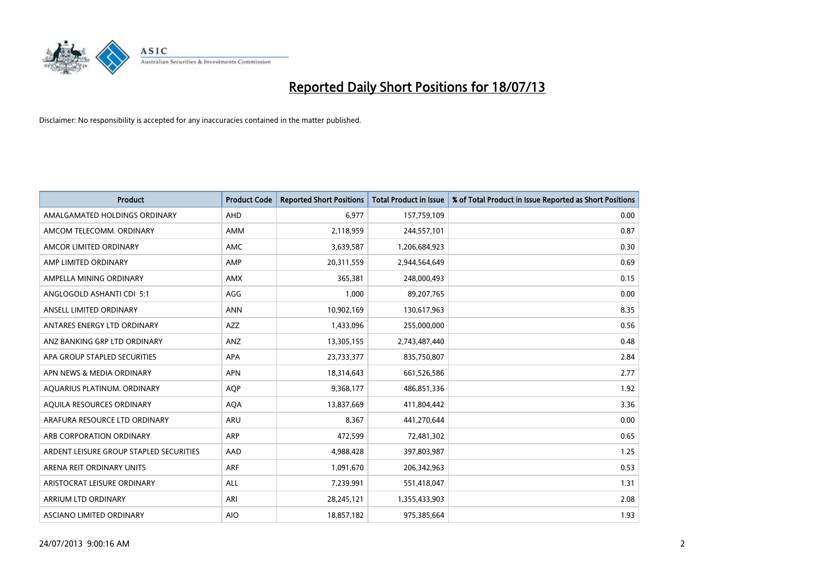

| <b>Product</b>                          | <b>Product Code</b> | <b>Reported Short Positions</b> | <b>Total Product in Issue</b> | % of Total Product in Issue Reported as Short Positions |
|-----------------------------------------|---------------------|---------------------------------|-------------------------------|---------------------------------------------------------|
| AMALGAMATED HOLDINGS ORDINARY           | AHD                 | 6,977                           | 157,759,109                   | 0.00                                                    |
| AMCOM TELECOMM. ORDINARY                | AMM                 | 2,118,959                       | 244,557,101                   | 0.87                                                    |
| AMCOR LIMITED ORDINARY                  | AMC                 | 3,639,587                       | 1,206,684,923                 | 0.30                                                    |
| AMP LIMITED ORDINARY                    | AMP                 | 20,311,559                      | 2,944,564,649                 | 0.69                                                    |
| AMPELLA MINING ORDINARY                 | <b>AMX</b>          | 365,381                         | 248,000,493                   | 0.15                                                    |
| ANGLOGOLD ASHANTI CDI 5:1               | AGG                 | 1,000                           | 89,207,765                    | 0.00                                                    |
| ANSELL LIMITED ORDINARY                 | <b>ANN</b>          | 10,902,169                      | 130,617,963                   | 8.35                                                    |
| ANTARES ENERGY LTD ORDINARY             | AZZ                 | 1,433,096                       | 255,000,000                   | 0.56                                                    |
| ANZ BANKING GRP LTD ORDINARY            | ANZ                 | 13,305,155                      | 2,743,487,440                 | 0.48                                                    |
| APA GROUP STAPLED SECURITIES            | <b>APA</b>          | 23,733,377                      | 835,750,807                   | 2.84                                                    |
| APN NEWS & MEDIA ORDINARY               | <b>APN</b>          | 18,314,643                      | 661,526,586                   | 2.77                                                    |
| AQUARIUS PLATINUM. ORDINARY             | <b>AQP</b>          | 9,368,177                       | 486,851,336                   | 1.92                                                    |
| AQUILA RESOURCES ORDINARY               | <b>AQA</b>          | 13,837,669                      | 411,804,442                   | 3.36                                                    |
| ARAFURA RESOURCE LTD ORDINARY           | ARU                 | 8,367                           | 441,270,644                   | 0.00                                                    |
| ARB CORPORATION ORDINARY                | ARP                 | 472,599                         | 72,481,302                    | 0.65                                                    |
| ARDENT LEISURE GROUP STAPLED SECURITIES | AAD                 | 4,988,428                       | 397,803,987                   | 1.25                                                    |
| ARENA REIT ORDINARY UNITS               | ARF                 | 1,091,670                       | 206,342,963                   | 0.53                                                    |
| ARISTOCRAT LEISURE ORDINARY             | <b>ALL</b>          | 7,239,991                       | 551,418,047                   | 1.31                                                    |
| ARRIUM LTD ORDINARY                     | ARI                 | 28,245,121                      | 1,355,433,903                 | 2.08                                                    |
| ASCIANO LIMITED ORDINARY                | <b>AIO</b>          | 18,857,182                      | 975,385,664                   | 1.93                                                    |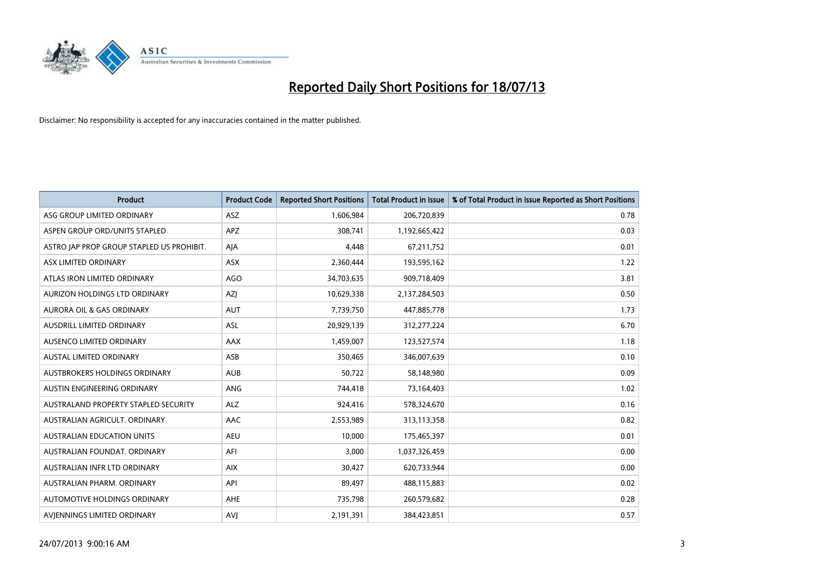

| <b>Product</b>                            | <b>Product Code</b> | <b>Reported Short Positions</b> | <b>Total Product in Issue</b> | % of Total Product in Issue Reported as Short Positions |
|-------------------------------------------|---------------------|---------------------------------|-------------------------------|---------------------------------------------------------|
| ASG GROUP LIMITED ORDINARY                | ASZ                 | 1,606,984                       | 206,720,839                   | 0.78                                                    |
| ASPEN GROUP ORD/UNITS STAPLED             | APZ                 | 308,741                         | 1,192,665,422                 | 0.03                                                    |
| ASTRO JAP PROP GROUP STAPLED US PROHIBIT. | AJA                 | 4,448                           | 67,211,752                    | 0.01                                                    |
| ASX LIMITED ORDINARY                      | ASX                 | 2,360,444                       | 193,595,162                   | 1.22                                                    |
| ATLAS IRON LIMITED ORDINARY               | AGO                 | 34,703,635                      | 909,718,409                   | 3.81                                                    |
| AURIZON HOLDINGS LTD ORDINARY             | AZJ                 | 10,629,338                      | 2,137,284,503                 | 0.50                                                    |
| AURORA OIL & GAS ORDINARY                 | <b>AUT</b>          | 7,739,750                       | 447,885,778                   | 1.73                                                    |
| AUSDRILL LIMITED ORDINARY                 | ASL                 | 20,929,139                      | 312,277,224                   | 6.70                                                    |
| AUSENCO LIMITED ORDINARY                  | AAX                 | 1,459,007                       | 123,527,574                   | 1.18                                                    |
| <b>AUSTAL LIMITED ORDINARY</b>            | ASB                 | 350,465                         | 346,007,639                   | 0.10                                                    |
| AUSTBROKERS HOLDINGS ORDINARY             | <b>AUB</b>          | 50,722                          | 58,148,980                    | 0.09                                                    |
| AUSTIN ENGINEERING ORDINARY               | ANG                 | 744,418                         | 73,164,403                    | 1.02                                                    |
| AUSTRALAND PROPERTY STAPLED SECURITY      | <b>ALZ</b>          | 924,416                         | 578,324,670                   | 0.16                                                    |
| AUSTRALIAN AGRICULT, ORDINARY             | AAC                 | 2,553,989                       | 313,113,358                   | 0.82                                                    |
| <b>AUSTRALIAN EDUCATION UNITS</b>         | <b>AEU</b>          | 10,000                          | 175,465,397                   | 0.01                                                    |
| AUSTRALIAN FOUNDAT. ORDINARY              | AFI                 | 3,000                           | 1,037,326,459                 | 0.00                                                    |
| AUSTRALIAN INFR LTD ORDINARY              | <b>AIX</b>          | 30,427                          | 620,733,944                   | 0.00                                                    |
| AUSTRALIAN PHARM, ORDINARY                | API                 | 89,497                          | 488,115,883                   | 0.02                                                    |
| AUTOMOTIVE HOLDINGS ORDINARY              | AHE                 | 735,798                         | 260,579,682                   | 0.28                                                    |
| AVJENNINGS LIMITED ORDINARY               | <b>AVJ</b>          | 2,191,391                       | 384,423,851                   | 0.57                                                    |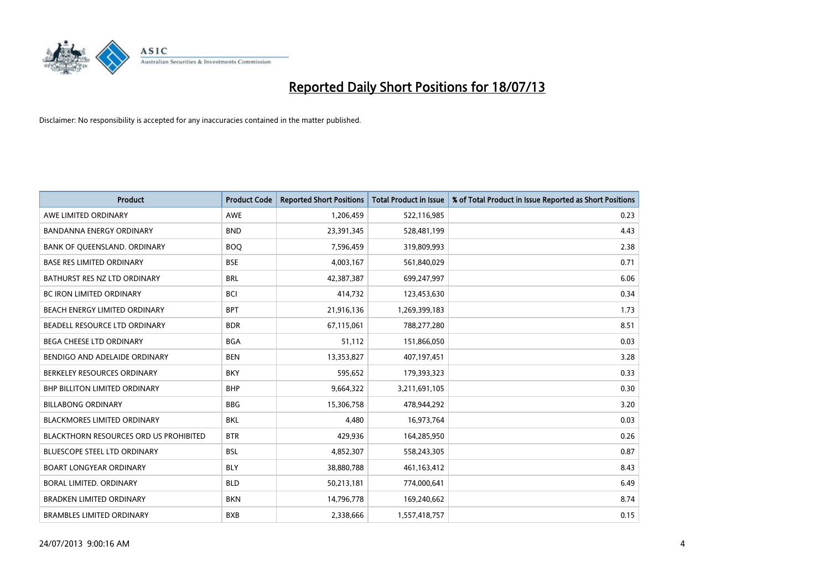

| <b>Product</b>                                | <b>Product Code</b> | <b>Reported Short Positions</b> | <b>Total Product in Issue</b> | % of Total Product in Issue Reported as Short Positions |
|-----------------------------------------------|---------------------|---------------------------------|-------------------------------|---------------------------------------------------------|
| AWE LIMITED ORDINARY                          | <b>AWE</b>          | 1,206,459                       | 522,116,985                   | 0.23                                                    |
| BANDANNA ENERGY ORDINARY                      | <b>BND</b>          | 23,391,345                      | 528,481,199                   | 4.43                                                    |
| BANK OF QUEENSLAND. ORDINARY                  | <b>BOQ</b>          | 7,596,459                       | 319,809,993                   | 2.38                                                    |
| <b>BASE RES LIMITED ORDINARY</b>              | <b>BSE</b>          | 4,003,167                       | 561,840,029                   | 0.71                                                    |
| BATHURST RES NZ LTD ORDINARY                  | <b>BRL</b>          | 42,387,387                      | 699,247,997                   | 6.06                                                    |
| <b>BC IRON LIMITED ORDINARY</b>               | <b>BCI</b>          | 414,732                         | 123,453,630                   | 0.34                                                    |
| BEACH ENERGY LIMITED ORDINARY                 | <b>BPT</b>          | 21,916,136                      | 1,269,399,183                 | 1.73                                                    |
| BEADELL RESOURCE LTD ORDINARY                 | <b>BDR</b>          | 67,115,061                      | 788,277,280                   | 8.51                                                    |
| BEGA CHEESE LTD ORDINARY                      | <b>BGA</b>          | 51,112                          | 151,866,050                   | 0.03                                                    |
| BENDIGO AND ADELAIDE ORDINARY                 | <b>BEN</b>          | 13,353,827                      | 407,197,451                   | 3.28                                                    |
| BERKELEY RESOURCES ORDINARY                   | <b>BKY</b>          | 595,652                         | 179,393,323                   | 0.33                                                    |
| BHP BILLITON LIMITED ORDINARY                 | <b>BHP</b>          | 9,664,322                       | 3,211,691,105                 | 0.30                                                    |
| <b>BILLABONG ORDINARY</b>                     | <b>BBG</b>          | 15,306,758                      | 478,944,292                   | 3.20                                                    |
| <b>BLACKMORES LIMITED ORDINARY</b>            | <b>BKL</b>          | 4,480                           | 16,973,764                    | 0.03                                                    |
| <b>BLACKTHORN RESOURCES ORD US PROHIBITED</b> | <b>BTR</b>          | 429,936                         | 164,285,950                   | 0.26                                                    |
| BLUESCOPE STEEL LTD ORDINARY                  | <b>BSL</b>          | 4,852,307                       | 558,243,305                   | 0.87                                                    |
| <b>BOART LONGYEAR ORDINARY</b>                | <b>BLY</b>          | 38,880,788                      | 461,163,412                   | 8.43                                                    |
| BORAL LIMITED, ORDINARY                       | <b>BLD</b>          | 50,213,181                      | 774,000,641                   | 6.49                                                    |
| <b>BRADKEN LIMITED ORDINARY</b>               | <b>BKN</b>          | 14,796,778                      | 169,240,662                   | 8.74                                                    |
| <b>BRAMBLES LIMITED ORDINARY</b>              | <b>BXB</b>          | 2,338,666                       | 1,557,418,757                 | 0.15                                                    |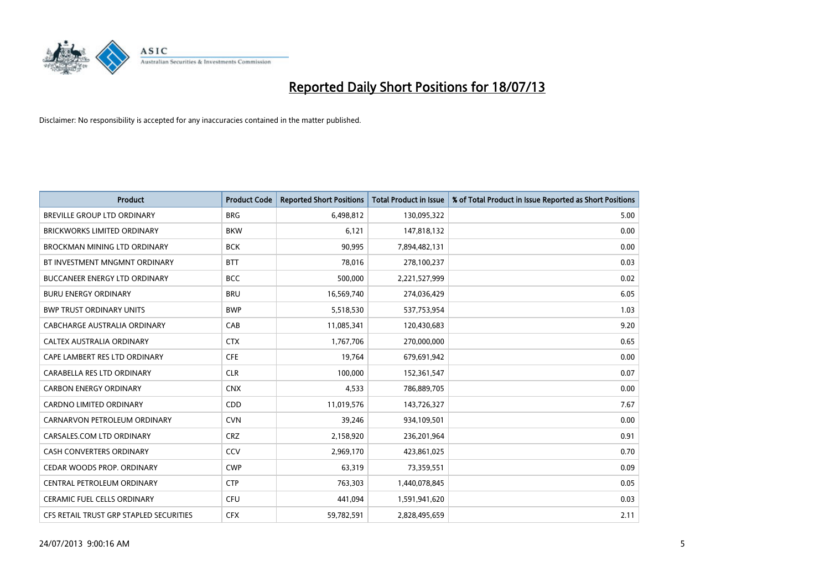

| <b>Product</b>                          | <b>Product Code</b> | <b>Reported Short Positions</b> | <b>Total Product in Issue</b> | % of Total Product in Issue Reported as Short Positions |
|-----------------------------------------|---------------------|---------------------------------|-------------------------------|---------------------------------------------------------|
| <b>BREVILLE GROUP LTD ORDINARY</b>      | <b>BRG</b>          | 6,498,812                       | 130,095,322                   | 5.00                                                    |
| <b>BRICKWORKS LIMITED ORDINARY</b>      | <b>BKW</b>          | 6,121                           | 147,818,132                   | 0.00                                                    |
| <b>BROCKMAN MINING LTD ORDINARY</b>     | <b>BCK</b>          | 90,995                          | 7,894,482,131                 | 0.00                                                    |
| BT INVESTMENT MNGMNT ORDINARY           | <b>BTT</b>          | 78,016                          | 278,100,237                   | 0.03                                                    |
| <b>BUCCANEER ENERGY LTD ORDINARY</b>    | <b>BCC</b>          | 500,000                         | 2,221,527,999                 | 0.02                                                    |
| <b>BURU ENERGY ORDINARY</b>             | <b>BRU</b>          | 16,569,740                      | 274,036,429                   | 6.05                                                    |
| <b>BWP TRUST ORDINARY UNITS</b>         | <b>BWP</b>          | 5,518,530                       | 537,753,954                   | 1.03                                                    |
| CABCHARGE AUSTRALIA ORDINARY            | CAB                 | 11,085,341                      | 120,430,683                   | 9.20                                                    |
| CALTEX AUSTRALIA ORDINARY               | <b>CTX</b>          | 1,767,706                       | 270,000,000                   | 0.65                                                    |
| CAPE LAMBERT RES LTD ORDINARY           | <b>CFE</b>          | 19,764                          | 679,691,942                   | 0.00                                                    |
| CARABELLA RES LTD ORDINARY              | <b>CLR</b>          | 100,000                         | 152,361,547                   | 0.07                                                    |
| <b>CARBON ENERGY ORDINARY</b>           | <b>CNX</b>          | 4,533                           | 786,889,705                   | 0.00                                                    |
| CARDNO LIMITED ORDINARY                 | CDD                 | 11,019,576                      | 143,726,327                   | 7.67                                                    |
| CARNARVON PETROLEUM ORDINARY            | <b>CVN</b>          | 39,246                          | 934,109,501                   | 0.00                                                    |
| CARSALES.COM LTD ORDINARY               | <b>CRZ</b>          | 2,158,920                       | 236,201,964                   | 0.91                                                    |
| CASH CONVERTERS ORDINARY                | CCV                 | 2,969,170                       | 423,861,025                   | 0.70                                                    |
| CEDAR WOODS PROP. ORDINARY              | <b>CWP</b>          | 63,319                          | 73,359,551                    | 0.09                                                    |
| CENTRAL PETROLEUM ORDINARY              | <b>CTP</b>          | 763,303                         | 1,440,078,845                 | 0.05                                                    |
| <b>CERAMIC FUEL CELLS ORDINARY</b>      | <b>CFU</b>          | 441,094                         | 1,591,941,620                 | 0.03                                                    |
| CFS RETAIL TRUST GRP STAPLED SECURITIES | <b>CFX</b>          | 59,782,591                      | 2,828,495,659                 | 2.11                                                    |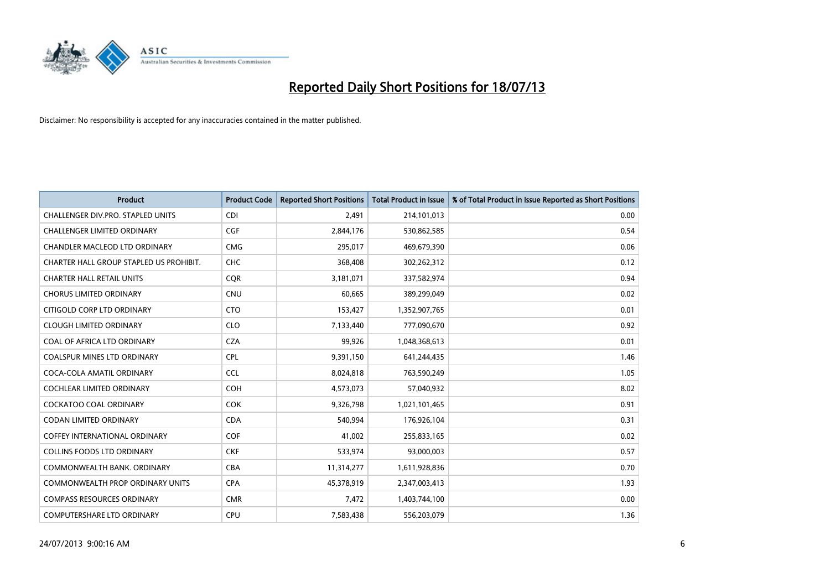

| <b>Product</b>                          | <b>Product Code</b> | <b>Reported Short Positions</b> | <b>Total Product in Issue</b> | % of Total Product in Issue Reported as Short Positions |
|-----------------------------------------|---------------------|---------------------------------|-------------------------------|---------------------------------------------------------|
| CHALLENGER DIV.PRO. STAPLED UNITS       | <b>CDI</b>          | 2,491                           | 214,101,013                   | 0.00                                                    |
| CHALLENGER LIMITED ORDINARY             | <b>CGF</b>          | 2,844,176                       | 530,862,585                   | 0.54                                                    |
| CHANDLER MACLEOD LTD ORDINARY           | <b>CMG</b>          | 295,017                         | 469,679,390                   | 0.06                                                    |
| CHARTER HALL GROUP STAPLED US PROHIBIT. | <b>CHC</b>          | 368,408                         | 302,262,312                   | 0.12                                                    |
| <b>CHARTER HALL RETAIL UNITS</b>        | <b>COR</b>          | 3,181,071                       | 337,582,974                   | 0.94                                                    |
| <b>CHORUS LIMITED ORDINARY</b>          | CNU                 | 60,665                          | 389,299,049                   | 0.02                                                    |
| CITIGOLD CORP LTD ORDINARY              | <b>CTO</b>          | 153,427                         | 1,352,907,765                 | 0.01                                                    |
| <b>CLOUGH LIMITED ORDINARY</b>          | <b>CLO</b>          | 7,133,440                       | 777,090,670                   | 0.92                                                    |
| COAL OF AFRICA LTD ORDINARY             | <b>CZA</b>          | 99,926                          | 1,048,368,613                 | 0.01                                                    |
| <b>COALSPUR MINES LTD ORDINARY</b>      | <b>CPL</b>          | 9,391,150                       | 641,244,435                   | 1.46                                                    |
| COCA-COLA AMATIL ORDINARY               | <b>CCL</b>          | 8,024,818                       | 763,590,249                   | 1.05                                                    |
| <b>COCHLEAR LIMITED ORDINARY</b>        | <b>COH</b>          | 4,573,073                       | 57,040,932                    | 8.02                                                    |
| COCKATOO COAL ORDINARY                  | <b>COK</b>          | 9,326,798                       | 1,021,101,465                 | 0.91                                                    |
| <b>CODAN LIMITED ORDINARY</b>           | <b>CDA</b>          | 540,994                         | 176,926,104                   | 0.31                                                    |
| <b>COFFEY INTERNATIONAL ORDINARY</b>    | <b>COF</b>          | 41,002                          | 255,833,165                   | 0.02                                                    |
| <b>COLLINS FOODS LTD ORDINARY</b>       | <b>CKF</b>          | 533,974                         | 93,000,003                    | 0.57                                                    |
| COMMONWEALTH BANK, ORDINARY             | <b>CBA</b>          | 11,314,277                      | 1,611,928,836                 | 0.70                                                    |
| <b>COMMONWEALTH PROP ORDINARY UNITS</b> | <b>CPA</b>          | 45,378,919                      | 2,347,003,413                 | 1.93                                                    |
| <b>COMPASS RESOURCES ORDINARY</b>       | <b>CMR</b>          | 7,472                           | 1,403,744,100                 | 0.00                                                    |
| COMPUTERSHARE LTD ORDINARY              | <b>CPU</b>          | 7,583,438                       | 556,203,079                   | 1.36                                                    |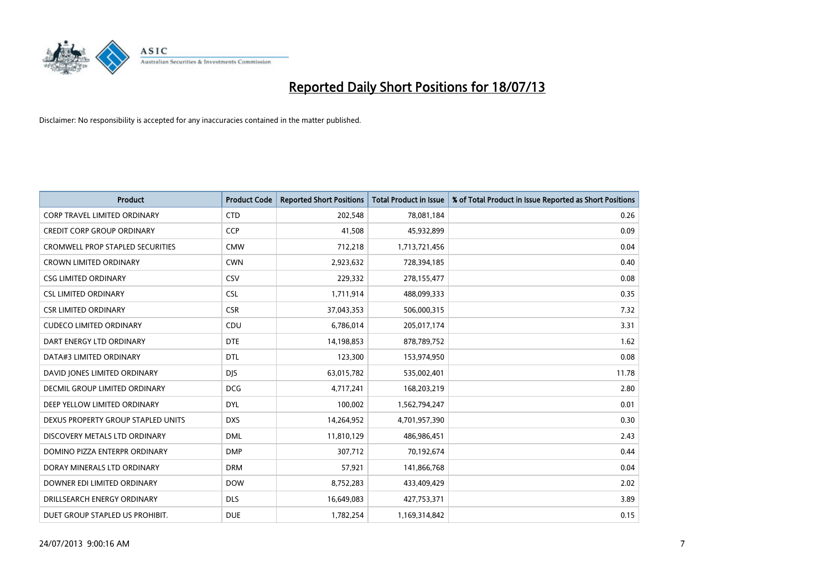

| <b>Product</b>                          | <b>Product Code</b> | <b>Reported Short Positions</b> | <b>Total Product in Issue</b> | % of Total Product in Issue Reported as Short Positions |
|-----------------------------------------|---------------------|---------------------------------|-------------------------------|---------------------------------------------------------|
| <b>CORP TRAVEL LIMITED ORDINARY</b>     | <b>CTD</b>          | 202,548                         | 78,081,184                    | 0.26                                                    |
| <b>CREDIT CORP GROUP ORDINARY</b>       | <b>CCP</b>          | 41,508                          | 45,932,899                    | 0.09                                                    |
| <b>CROMWELL PROP STAPLED SECURITIES</b> | <b>CMW</b>          | 712,218                         | 1,713,721,456                 | 0.04                                                    |
| <b>CROWN LIMITED ORDINARY</b>           | <b>CWN</b>          | 2,923,632                       | 728,394,185                   | 0.40                                                    |
| <b>CSG LIMITED ORDINARY</b>             | <b>CSV</b>          | 229,332                         | 278,155,477                   | 0.08                                                    |
| <b>CSL LIMITED ORDINARY</b>             | <b>CSL</b>          | 1,711,914                       | 488,099,333                   | 0.35                                                    |
| CSR LIMITED ORDINARY                    | <b>CSR</b>          | 37,043,353                      | 506,000,315                   | 7.32                                                    |
| <b>CUDECO LIMITED ORDINARY</b>          | CDU                 | 6,786,014                       | 205,017,174                   | 3.31                                                    |
| DART ENERGY LTD ORDINARY                | <b>DTE</b>          | 14,198,853                      | 878,789,752                   | 1.62                                                    |
| DATA#3 LIMITED ORDINARY                 | <b>DTL</b>          | 123,300                         | 153,974,950                   | 0.08                                                    |
| DAVID JONES LIMITED ORDINARY            | <b>DJS</b>          | 63,015,782                      | 535,002,401                   | 11.78                                                   |
| <b>DECMIL GROUP LIMITED ORDINARY</b>    | <b>DCG</b>          | 4,717,241                       | 168,203,219                   | 2.80                                                    |
| DEEP YELLOW LIMITED ORDINARY            | <b>DYL</b>          | 100,002                         | 1,562,794,247                 | 0.01                                                    |
| DEXUS PROPERTY GROUP STAPLED UNITS      | <b>DXS</b>          | 14,264,952                      | 4,701,957,390                 | 0.30                                                    |
| DISCOVERY METALS LTD ORDINARY           | <b>DML</b>          | 11,810,129                      | 486,986,451                   | 2.43                                                    |
| DOMINO PIZZA ENTERPR ORDINARY           | <b>DMP</b>          | 307,712                         | 70,192,674                    | 0.44                                                    |
| DORAY MINERALS LTD ORDINARY             | <b>DRM</b>          | 57,921                          | 141,866,768                   | 0.04                                                    |
| DOWNER EDI LIMITED ORDINARY             | <b>DOW</b>          | 8,752,283                       | 433,409,429                   | 2.02                                                    |
| DRILLSEARCH ENERGY ORDINARY             | <b>DLS</b>          | 16,649,083                      | 427,753,371                   | 3.89                                                    |
| DUET GROUP STAPLED US PROHIBIT.         | <b>DUE</b>          | 1,782,254                       | 1,169,314,842                 | 0.15                                                    |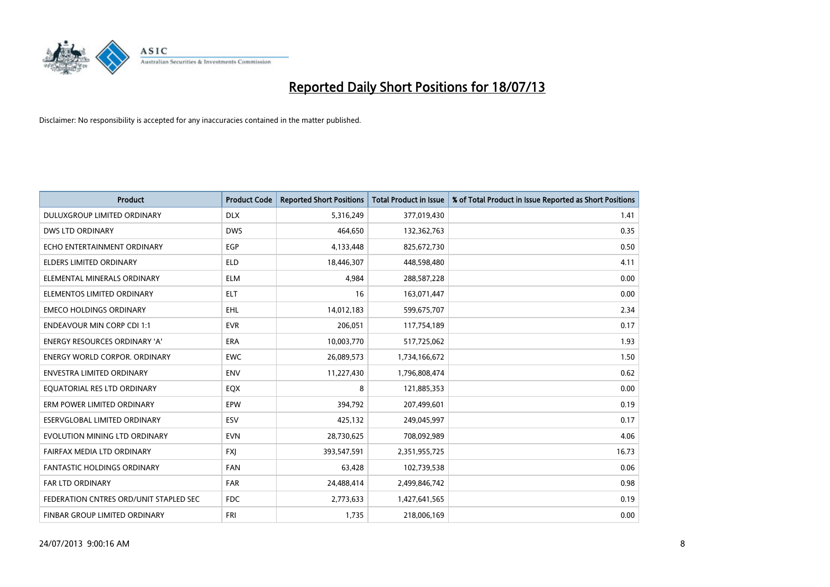

| <b>Product</b>                         | <b>Product Code</b> | <b>Reported Short Positions</b> | <b>Total Product in Issue</b> | % of Total Product in Issue Reported as Short Positions |
|----------------------------------------|---------------------|---------------------------------|-------------------------------|---------------------------------------------------------|
| DULUXGROUP LIMITED ORDINARY            | <b>DLX</b>          | 5,316,249                       | 377,019,430                   | 1.41                                                    |
| DWS LTD ORDINARY                       | <b>DWS</b>          | 464,650                         | 132,362,763                   | 0.35                                                    |
| ECHO ENTERTAINMENT ORDINARY            | <b>EGP</b>          | 4,133,448                       | 825,672,730                   | 0.50                                                    |
| <b>ELDERS LIMITED ORDINARY</b>         | <b>ELD</b>          | 18,446,307                      | 448,598,480                   | 4.11                                                    |
| ELEMENTAL MINERALS ORDINARY            | <b>ELM</b>          | 4,984                           | 288,587,228                   | 0.00                                                    |
| ELEMENTOS LIMITED ORDINARY             | <b>ELT</b>          | 16                              | 163,071,447                   | 0.00                                                    |
| <b>EMECO HOLDINGS ORDINARY</b>         | <b>EHL</b>          | 14,012,183                      | 599,675,707                   | 2.34                                                    |
| <b>ENDEAVOUR MIN CORP CDI 1:1</b>      | <b>EVR</b>          | 206,051                         | 117,754,189                   | 0.17                                                    |
| <b>ENERGY RESOURCES ORDINARY 'A'</b>   | <b>ERA</b>          | 10,003,770                      | 517,725,062                   | 1.93                                                    |
| <b>ENERGY WORLD CORPOR, ORDINARY</b>   | <b>EWC</b>          | 26,089,573                      | 1,734,166,672                 | 1.50                                                    |
| ENVESTRA LIMITED ORDINARY              | <b>ENV</b>          | 11,227,430                      | 1,796,808,474                 | 0.62                                                    |
| EQUATORIAL RES LTD ORDINARY            | EQX                 | 8                               | 121,885,353                   | 0.00                                                    |
| ERM POWER LIMITED ORDINARY             | EPW                 | 394,792                         | 207,499,601                   | 0.19                                                    |
| ESERVGLOBAL LIMITED ORDINARY           | ESV                 | 425,132                         | 249,045,997                   | 0.17                                                    |
| EVOLUTION MINING LTD ORDINARY          | <b>EVN</b>          | 28,730,625                      | 708,092,989                   | 4.06                                                    |
| FAIRFAX MEDIA LTD ORDINARY             | <b>FXJ</b>          | 393,547,591                     | 2,351,955,725                 | 16.73                                                   |
| FANTASTIC HOLDINGS ORDINARY            | <b>FAN</b>          | 63,428                          | 102,739,538                   | 0.06                                                    |
| <b>FAR LTD ORDINARY</b>                | <b>FAR</b>          | 24,488,414                      | 2,499,846,742                 | 0.98                                                    |
| FEDERATION CNTRES ORD/UNIT STAPLED SEC | FDC                 | 2,773,633                       | 1,427,641,565                 | 0.19                                                    |
| FINBAR GROUP LIMITED ORDINARY          | <b>FRI</b>          | 1,735                           | 218,006,169                   | 0.00                                                    |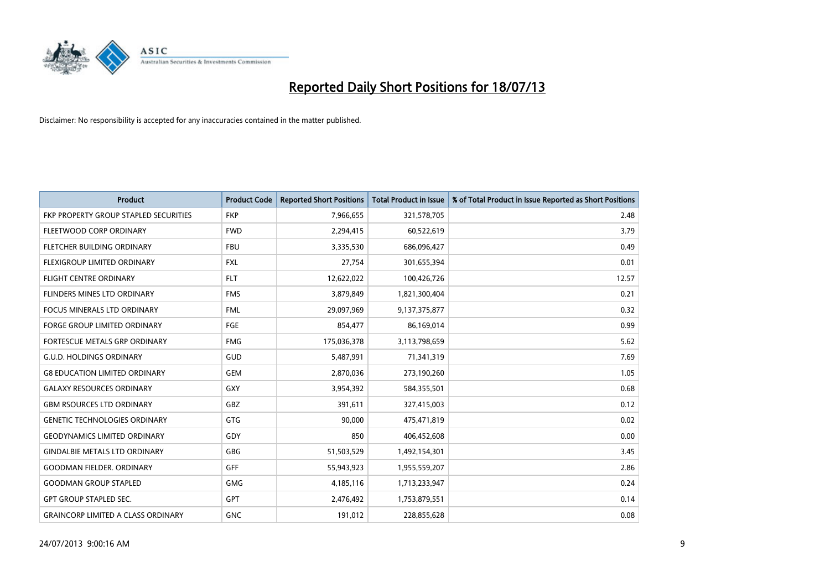

| <b>Product</b>                            | <b>Product Code</b> | <b>Reported Short Positions</b> | <b>Total Product in Issue</b> | % of Total Product in Issue Reported as Short Positions |
|-------------------------------------------|---------------------|---------------------------------|-------------------------------|---------------------------------------------------------|
| FKP PROPERTY GROUP STAPLED SECURITIES     | <b>FKP</b>          | 7,966,655                       | 321,578,705                   | 2.48                                                    |
| FLEETWOOD CORP ORDINARY                   | <b>FWD</b>          | 2,294,415                       | 60,522,619                    | 3.79                                                    |
| FLETCHER BUILDING ORDINARY                | <b>FBU</b>          | 3,335,530                       | 686,096,427                   | 0.49                                                    |
| FLEXIGROUP LIMITED ORDINARY               | FXL                 | 27,754                          | 301,655,394                   | 0.01                                                    |
| <b>FLIGHT CENTRE ORDINARY</b>             | <b>FLT</b>          | 12,622,022                      | 100,426,726                   | 12.57                                                   |
| FLINDERS MINES LTD ORDINARY               | <b>FMS</b>          | 3,879,849                       | 1,821,300,404                 | 0.21                                                    |
| <b>FOCUS MINERALS LTD ORDINARY</b>        | <b>FML</b>          | 29,097,969                      | 9,137,375,877                 | 0.32                                                    |
| FORGE GROUP LIMITED ORDINARY              | FGE                 | 854,477                         | 86,169,014                    | 0.99                                                    |
| FORTESCUE METALS GRP ORDINARY             | <b>FMG</b>          | 175,036,378                     | 3,113,798,659                 | 5.62                                                    |
| <b>G.U.D. HOLDINGS ORDINARY</b>           | GUD                 | 5,487,991                       | 71,341,319                    | 7.69                                                    |
| <b>G8 EDUCATION LIMITED ORDINARY</b>      | <b>GEM</b>          | 2,870,036                       | 273,190,260                   | 1.05                                                    |
| <b>GALAXY RESOURCES ORDINARY</b>          | GXY                 | 3,954,392                       | 584,355,501                   | 0.68                                                    |
| <b>GBM RSOURCES LTD ORDINARY</b>          | <b>GBZ</b>          | 391,611                         | 327,415,003                   | 0.12                                                    |
| <b>GENETIC TECHNOLOGIES ORDINARY</b>      | GTG                 | 90,000                          | 475,471,819                   | 0.02                                                    |
| <b>GEODYNAMICS LIMITED ORDINARY</b>       | GDY                 | 850                             | 406,452,608                   | 0.00                                                    |
| <b>GINDALBIE METALS LTD ORDINARY</b>      | GBG                 | 51,503,529                      | 1,492,154,301                 | 3.45                                                    |
| <b>GOODMAN FIELDER. ORDINARY</b>          | GFF                 | 55,943,923                      | 1,955,559,207                 | 2.86                                                    |
| <b>GOODMAN GROUP STAPLED</b>              | <b>GMG</b>          | 4,185,116                       | 1,713,233,947                 | 0.24                                                    |
| <b>GPT GROUP STAPLED SEC.</b>             | GPT                 | 2,476,492                       | 1,753,879,551                 | 0.14                                                    |
| <b>GRAINCORP LIMITED A CLASS ORDINARY</b> | <b>GNC</b>          | 191,012                         | 228,855,628                   | 0.08                                                    |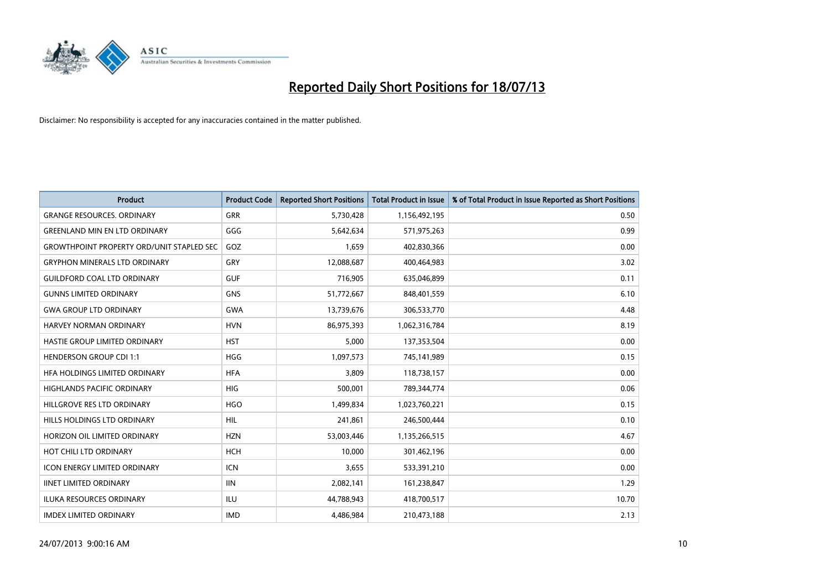

| <b>Product</b>                                   | <b>Product Code</b> | <b>Reported Short Positions</b> | <b>Total Product in Issue</b> | % of Total Product in Issue Reported as Short Positions |
|--------------------------------------------------|---------------------|---------------------------------|-------------------------------|---------------------------------------------------------|
| <b>GRANGE RESOURCES, ORDINARY</b>                | <b>GRR</b>          | 5,730,428                       | 1,156,492,195                 | 0.50                                                    |
| <b>GREENLAND MIN EN LTD ORDINARY</b>             | GGG                 | 5,642,634                       | 571,975,263                   | 0.99                                                    |
| <b>GROWTHPOINT PROPERTY ORD/UNIT STAPLED SEC</b> | GOZ                 | 1,659                           | 402,830,366                   | 0.00                                                    |
| <b>GRYPHON MINERALS LTD ORDINARY</b>             | GRY                 | 12,088,687                      | 400,464,983                   | 3.02                                                    |
| <b>GUILDFORD COAL LTD ORDINARY</b>               | <b>GUF</b>          | 716,905                         | 635,046,899                   | 0.11                                                    |
| <b>GUNNS LIMITED ORDINARY</b>                    | <b>GNS</b>          | 51,772,667                      | 848,401,559                   | 6.10                                                    |
| <b>GWA GROUP LTD ORDINARY</b>                    | <b>GWA</b>          | 13,739,676                      | 306,533,770                   | 4.48                                                    |
| HARVEY NORMAN ORDINARY                           | <b>HVN</b>          | 86,975,393                      | 1,062,316,784                 | 8.19                                                    |
| HASTIE GROUP LIMITED ORDINARY                    | <b>HST</b>          | 5,000                           | 137,353,504                   | 0.00                                                    |
| <b>HENDERSON GROUP CDI 1:1</b>                   | <b>HGG</b>          | 1,097,573                       | 745,141,989                   | 0.15                                                    |
| HFA HOLDINGS LIMITED ORDINARY                    | <b>HFA</b>          | 3,809                           | 118,738,157                   | 0.00                                                    |
| HIGHLANDS PACIFIC ORDINARY                       | <b>HIG</b>          | 500,001                         | 789,344,774                   | 0.06                                                    |
| HILLGROVE RES LTD ORDINARY                       | <b>HGO</b>          | 1,499,834                       | 1,023,760,221                 | 0.15                                                    |
| HILLS HOLDINGS LTD ORDINARY                      | <b>HIL</b>          | 241,861                         | 246,500,444                   | 0.10                                                    |
| HORIZON OIL LIMITED ORDINARY                     | <b>HZN</b>          | 53,003,446                      | 1,135,266,515                 | 4.67                                                    |
| HOT CHILI LTD ORDINARY                           | <b>HCH</b>          | 10,000                          | 301,462,196                   | 0.00                                                    |
| ICON ENERGY LIMITED ORDINARY                     | ICN                 | 3,655                           | 533,391,210                   | 0.00                                                    |
| <b>IINET LIMITED ORDINARY</b>                    | <b>IIN</b>          | 2,082,141                       | 161,238,847                   | 1.29                                                    |
| <b>ILUKA RESOURCES ORDINARY</b>                  | ILU                 | 44,788,943                      | 418,700,517                   | 10.70                                                   |
| <b>IMDEX LIMITED ORDINARY</b>                    | <b>IMD</b>          | 4,486,984                       | 210,473,188                   | 2.13                                                    |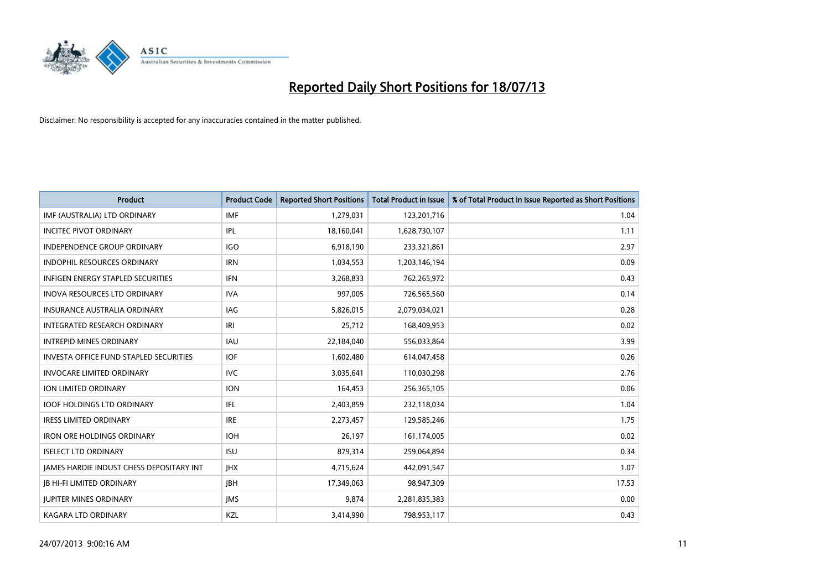

| <b>Product</b>                                  | <b>Product Code</b> | <b>Reported Short Positions</b> | <b>Total Product in Issue</b> | % of Total Product in Issue Reported as Short Positions |
|-------------------------------------------------|---------------------|---------------------------------|-------------------------------|---------------------------------------------------------|
| IMF (AUSTRALIA) LTD ORDINARY                    | <b>IMF</b>          | 1,279,031                       | 123,201,716                   | 1.04                                                    |
| <b>INCITEC PIVOT ORDINARY</b>                   | IPL                 | 18,160,041                      | 1,628,730,107                 | 1.11                                                    |
| <b>INDEPENDENCE GROUP ORDINARY</b>              | <b>IGO</b>          | 6,918,190                       | 233,321,861                   | 2.97                                                    |
| INDOPHIL RESOURCES ORDINARY                     | <b>IRN</b>          | 1,034,553                       | 1,203,146,194                 | 0.09                                                    |
| <b>INFIGEN ENERGY STAPLED SECURITIES</b>        | <b>IFN</b>          | 3,268,833                       | 762,265,972                   | 0.43                                                    |
| <b>INOVA RESOURCES LTD ORDINARY</b>             | <b>IVA</b>          | 997,005                         | 726,565,560                   | 0.14                                                    |
| <b>INSURANCE AUSTRALIA ORDINARY</b>             | IAG                 | 5,826,015                       | 2,079,034,021                 | 0.28                                                    |
| INTEGRATED RESEARCH ORDINARY                    | IRI                 | 25,712                          | 168,409,953                   | 0.02                                                    |
| <b>INTREPID MINES ORDINARY</b>                  | <b>IAU</b>          | 22,184,040                      | 556,033,864                   | 3.99                                                    |
| INVESTA OFFICE FUND STAPLED SECURITIES          | <b>IOF</b>          | 1,602,480                       | 614,047,458                   | 0.26                                                    |
| <b>INVOCARE LIMITED ORDINARY</b>                | <b>IVC</b>          | 3,035,641                       | 110,030,298                   | 2.76                                                    |
| ION LIMITED ORDINARY                            | <b>ION</b>          | 164,453                         | 256,365,105                   | 0.06                                                    |
| <b>IOOF HOLDINGS LTD ORDINARY</b>               | IFL                 | 2,403,859                       | 232,118,034                   | 1.04                                                    |
| <b>IRESS LIMITED ORDINARY</b>                   | <b>IRE</b>          | 2,273,457                       | 129,585,246                   | 1.75                                                    |
| <b>IRON ORE HOLDINGS ORDINARY</b>               | <b>IOH</b>          | 26,197                          | 161,174,005                   | 0.02                                                    |
| <b>ISELECT LTD ORDINARY</b>                     | <b>ISU</b>          | 879,314                         | 259,064,894                   | 0.34                                                    |
| <b>JAMES HARDIE INDUST CHESS DEPOSITARY INT</b> | <b>IHX</b>          | 4,715,624                       | 442,091,547                   | 1.07                                                    |
| <b>JB HI-FI LIMITED ORDINARY</b>                | JBH                 | 17,349,063                      | 98,947,309                    | 17.53                                                   |
| <b>IUPITER MINES ORDINARY</b>                   | <b>IMS</b>          | 9,874                           | 2,281,835,383                 | 0.00                                                    |
| <b>KAGARA LTD ORDINARY</b>                      | KZL                 | 3,414,990                       | 798,953,117                   | 0.43                                                    |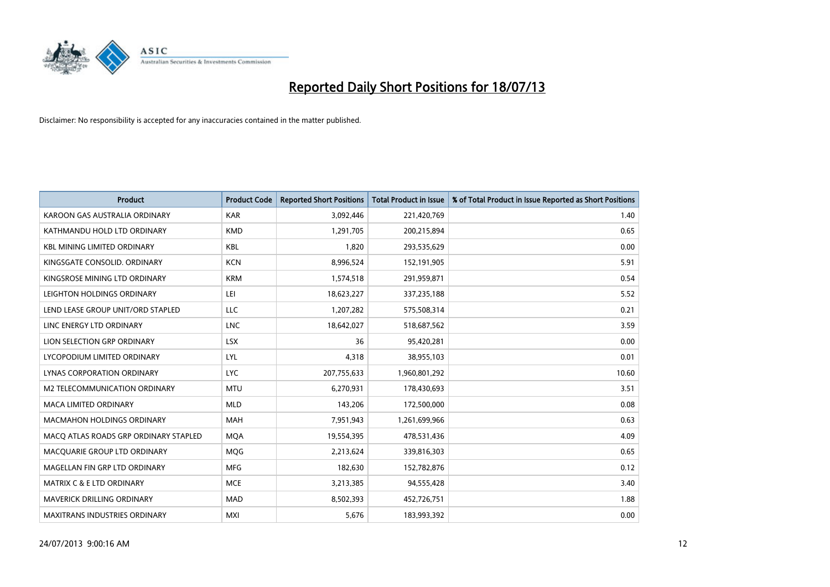

| <b>Product</b>                        | <b>Product Code</b> | <b>Reported Short Positions</b> | <b>Total Product in Issue</b> | % of Total Product in Issue Reported as Short Positions |
|---------------------------------------|---------------------|---------------------------------|-------------------------------|---------------------------------------------------------|
| KAROON GAS AUSTRALIA ORDINARY         | <b>KAR</b>          | 3,092,446                       | 221,420,769                   | 1.40                                                    |
| KATHMANDU HOLD LTD ORDINARY           | <b>KMD</b>          | 1,291,705                       | 200,215,894                   | 0.65                                                    |
| <b>KBL MINING LIMITED ORDINARY</b>    | <b>KBL</b>          | 1,820                           | 293,535,629                   | 0.00                                                    |
| KINGSGATE CONSOLID, ORDINARY          | <b>KCN</b>          | 8,996,524                       | 152,191,905                   | 5.91                                                    |
| KINGSROSE MINING LTD ORDINARY         | <b>KRM</b>          | 1,574,518                       | 291,959,871                   | 0.54                                                    |
| LEIGHTON HOLDINGS ORDINARY            | LEI                 | 18,623,227                      | 337,235,188                   | 5.52                                                    |
| LEND LEASE GROUP UNIT/ORD STAPLED     | LLC                 | 1,207,282                       | 575,508,314                   | 0.21                                                    |
| LINC ENERGY LTD ORDINARY              | <b>LNC</b>          | 18,642,027                      | 518,687,562                   | 3.59                                                    |
| LION SELECTION GRP ORDINARY           | <b>LSX</b>          | 36                              | 95,420,281                    | 0.00                                                    |
| LYCOPODIUM LIMITED ORDINARY           | <b>LYL</b>          | 4,318                           | 38,955,103                    | 0.01                                                    |
| LYNAS CORPORATION ORDINARY            | LYC.                | 207,755,633                     | 1,960,801,292                 | 10.60                                                   |
| M2 TELECOMMUNICATION ORDINARY         | <b>MTU</b>          | 6,270,931                       | 178,430,693                   | 3.51                                                    |
| MACA LIMITED ORDINARY                 | <b>MLD</b>          | 143,206                         | 172,500,000                   | 0.08                                                    |
| <b>MACMAHON HOLDINGS ORDINARY</b>     | <b>MAH</b>          | 7,951,943                       | 1,261,699,966                 | 0.63                                                    |
| MACO ATLAS ROADS GRP ORDINARY STAPLED | <b>MQA</b>          | 19,554,395                      | 478,531,436                   | 4.09                                                    |
| MACQUARIE GROUP LTD ORDINARY          | <b>MOG</b>          | 2,213,624                       | 339,816,303                   | 0.65                                                    |
| MAGELLAN FIN GRP LTD ORDINARY         | <b>MFG</b>          | 182,630                         | 152,782,876                   | 0.12                                                    |
| <b>MATRIX C &amp; E LTD ORDINARY</b>  | <b>MCE</b>          | 3,213,385                       | 94,555,428                    | 3.40                                                    |
| <b>MAVERICK DRILLING ORDINARY</b>     | <b>MAD</b>          | 8,502,393                       | 452,726,751                   | 1.88                                                    |
| <b>MAXITRANS INDUSTRIES ORDINARY</b>  | <b>MXI</b>          | 5,676                           | 183,993,392                   | 0.00                                                    |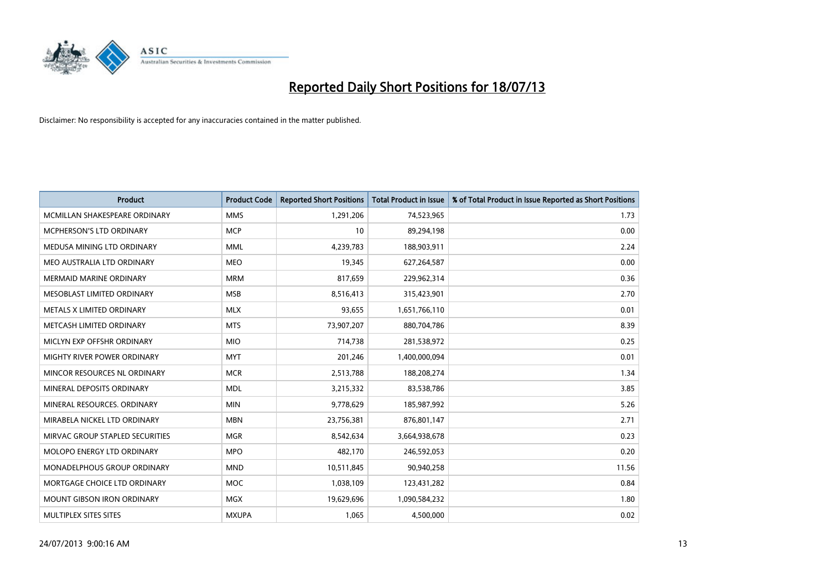

| <b>Product</b>                    | <b>Product Code</b> | <b>Reported Short Positions</b> | <b>Total Product in Issue</b> | % of Total Product in Issue Reported as Short Positions |
|-----------------------------------|---------------------|---------------------------------|-------------------------------|---------------------------------------------------------|
| MCMILLAN SHAKESPEARE ORDINARY     | <b>MMS</b>          | 1,291,206                       | 74,523,965                    | 1.73                                                    |
| MCPHERSON'S LTD ORDINARY          | <b>MCP</b>          | 10                              | 89,294,198                    | 0.00                                                    |
| MEDUSA MINING LTD ORDINARY        | <b>MML</b>          | 4,239,783                       | 188,903,911                   | 2.24                                                    |
| MEO AUSTRALIA LTD ORDINARY        | <b>MEO</b>          | 19,345                          | 627,264,587                   | 0.00                                                    |
| <b>MERMAID MARINE ORDINARY</b>    | <b>MRM</b>          | 817,659                         | 229,962,314                   | 0.36                                                    |
| MESOBLAST LIMITED ORDINARY        | <b>MSB</b>          | 8,516,413                       | 315,423,901                   | 2.70                                                    |
| METALS X LIMITED ORDINARY         | <b>MLX</b>          | 93,655                          | 1,651,766,110                 | 0.01                                                    |
| METCASH LIMITED ORDINARY          | <b>MTS</b>          | 73,907,207                      | 880,704,786                   | 8.39                                                    |
| MICLYN EXP OFFSHR ORDINARY        | <b>MIO</b>          | 714,738                         | 281,538,972                   | 0.25                                                    |
| MIGHTY RIVER POWER ORDINARY       | <b>MYT</b>          | 201,246                         | 1,400,000,094                 | 0.01                                                    |
| MINCOR RESOURCES NL ORDINARY      | <b>MCR</b>          | 2,513,788                       | 188,208,274                   | 1.34                                                    |
| MINERAL DEPOSITS ORDINARY         | <b>MDL</b>          | 3,215,332                       | 83,538,786                    | 3.85                                                    |
| MINERAL RESOURCES. ORDINARY       | <b>MIN</b>          | 9,778,629                       | 185,987,992                   | 5.26                                                    |
| MIRABELA NICKEL LTD ORDINARY      | <b>MBN</b>          | 23,756,381                      | 876,801,147                   | 2.71                                                    |
| MIRVAC GROUP STAPLED SECURITIES   | <b>MGR</b>          | 8,542,634                       | 3,664,938,678                 | 0.23                                                    |
| MOLOPO ENERGY LTD ORDINARY        | <b>MPO</b>          | 482,170                         | 246,592,053                   | 0.20                                                    |
| MONADELPHOUS GROUP ORDINARY       | <b>MND</b>          | 10,511,845                      | 90,940,258                    | 11.56                                                   |
| MORTGAGE CHOICE LTD ORDINARY      | MOC                 | 1,038,109                       | 123,431,282                   | 0.84                                                    |
| <b>MOUNT GIBSON IRON ORDINARY</b> | <b>MGX</b>          | 19,629,696                      | 1,090,584,232                 | 1.80                                                    |
| MULTIPLEX SITES SITES             | <b>MXUPA</b>        | 1,065                           | 4,500,000                     | 0.02                                                    |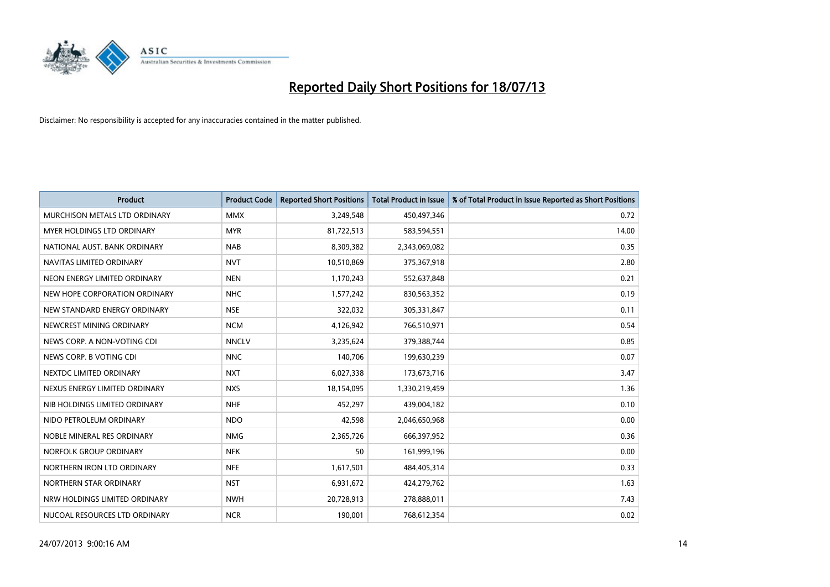

| <b>Product</b>                | <b>Product Code</b> | <b>Reported Short Positions</b> | <b>Total Product in Issue</b> | % of Total Product in Issue Reported as Short Positions |
|-------------------------------|---------------------|---------------------------------|-------------------------------|---------------------------------------------------------|
| MURCHISON METALS LTD ORDINARY | <b>MMX</b>          | 3,249,548                       | 450,497,346                   | 0.72                                                    |
| MYER HOLDINGS LTD ORDINARY    | <b>MYR</b>          | 81,722,513                      | 583,594,551                   | 14.00                                                   |
| NATIONAL AUST. BANK ORDINARY  | <b>NAB</b>          | 8,309,382                       | 2,343,069,082                 | 0.35                                                    |
| NAVITAS LIMITED ORDINARY      | <b>NVT</b>          | 10,510,869                      | 375,367,918                   | 2.80                                                    |
| NEON ENERGY LIMITED ORDINARY  | <b>NEN</b>          | 1,170,243                       | 552,637,848                   | 0.21                                                    |
| NEW HOPE CORPORATION ORDINARY | <b>NHC</b>          | 1,577,242                       | 830,563,352                   | 0.19                                                    |
| NEW STANDARD ENERGY ORDINARY  | <b>NSE</b>          | 322,032                         | 305,331,847                   | 0.11                                                    |
| NEWCREST MINING ORDINARY      | <b>NCM</b>          | 4,126,942                       | 766,510,971                   | 0.54                                                    |
| NEWS CORP. A NON-VOTING CDI   | <b>NNCLV</b>        | 3,235,624                       | 379,388,744                   | 0.85                                                    |
| NEWS CORP. B VOTING CDI       | <b>NNC</b>          | 140,706                         | 199,630,239                   | 0.07                                                    |
| NEXTDC LIMITED ORDINARY       | <b>NXT</b>          | 6,027,338                       | 173,673,716                   | 3.47                                                    |
| NEXUS ENERGY LIMITED ORDINARY | <b>NXS</b>          | 18,154,095                      | 1,330,219,459                 | 1.36                                                    |
| NIB HOLDINGS LIMITED ORDINARY | <b>NHF</b>          | 452,297                         | 439,004,182                   | 0.10                                                    |
| NIDO PETROLEUM ORDINARY       | <b>NDO</b>          | 42,598                          | 2,046,650,968                 | 0.00                                                    |
| NOBLE MINERAL RES ORDINARY    | <b>NMG</b>          | 2,365,726                       | 666,397,952                   | 0.36                                                    |
| NORFOLK GROUP ORDINARY        | <b>NFK</b>          | 50                              | 161,999,196                   | 0.00                                                    |
| NORTHERN IRON LTD ORDINARY    | <b>NFE</b>          | 1,617,501                       | 484,405,314                   | 0.33                                                    |
| NORTHERN STAR ORDINARY        | <b>NST</b>          | 6,931,672                       | 424,279,762                   | 1.63                                                    |
| NRW HOLDINGS LIMITED ORDINARY | <b>NWH</b>          | 20,728,913                      | 278,888,011                   | 7.43                                                    |
| NUCOAL RESOURCES LTD ORDINARY | <b>NCR</b>          | 190,001                         | 768,612,354                   | 0.02                                                    |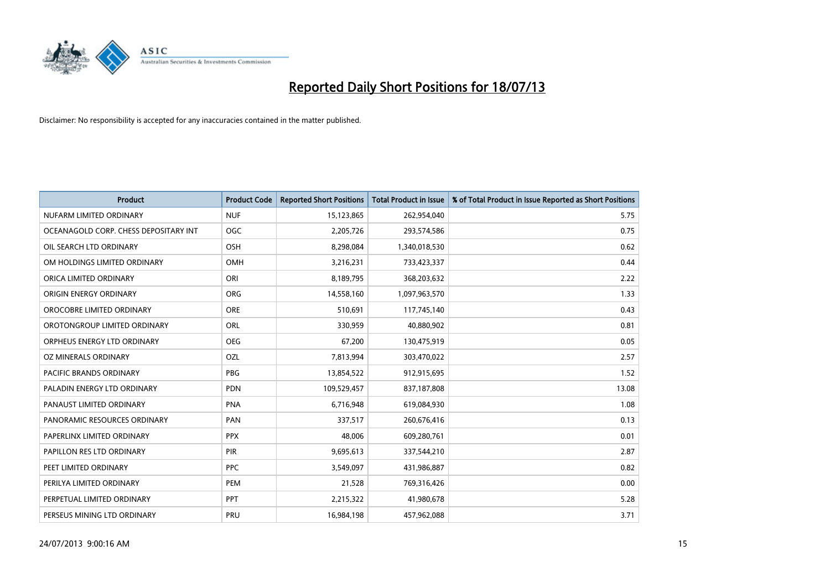

| <b>Product</b>                        | <b>Product Code</b> | <b>Reported Short Positions</b> | <b>Total Product in Issue</b> | % of Total Product in Issue Reported as Short Positions |
|---------------------------------------|---------------------|---------------------------------|-------------------------------|---------------------------------------------------------|
| NUFARM LIMITED ORDINARY               | <b>NUF</b>          | 15,123,865                      | 262,954,040                   | 5.75                                                    |
| OCEANAGOLD CORP. CHESS DEPOSITARY INT | <b>OGC</b>          | 2,205,726                       | 293,574,586                   | 0.75                                                    |
| OIL SEARCH LTD ORDINARY               | OSH                 | 8,298,084                       | 1,340,018,530                 | 0.62                                                    |
| OM HOLDINGS LIMITED ORDINARY          | <b>OMH</b>          | 3,216,231                       | 733,423,337                   | 0.44                                                    |
| ORICA LIMITED ORDINARY                | ORI                 | 8,189,795                       | 368,203,632                   | 2.22                                                    |
| ORIGIN ENERGY ORDINARY                | <b>ORG</b>          | 14,558,160                      | 1,097,963,570                 | 1.33                                                    |
| OROCOBRE LIMITED ORDINARY             | <b>ORE</b>          | 510,691                         | 117,745,140                   | 0.43                                                    |
| OROTONGROUP LIMITED ORDINARY          | ORL                 | 330,959                         | 40,880,902                    | 0.81                                                    |
| ORPHEUS ENERGY LTD ORDINARY           | <b>OEG</b>          | 67,200                          | 130,475,919                   | 0.05                                                    |
| <b>OZ MINERALS ORDINARY</b>           | <b>OZL</b>          | 7,813,994                       | 303,470,022                   | 2.57                                                    |
| PACIFIC BRANDS ORDINARY               | <b>PBG</b>          | 13,854,522                      | 912,915,695                   | 1.52                                                    |
| PALADIN ENERGY LTD ORDINARY           | <b>PDN</b>          | 109,529,457                     | 837,187,808                   | 13.08                                                   |
| PANAUST LIMITED ORDINARY              | <b>PNA</b>          | 6,716,948                       | 619,084,930                   | 1.08                                                    |
| PANORAMIC RESOURCES ORDINARY          | PAN                 | 337,517                         | 260,676,416                   | 0.13                                                    |
| PAPERLINX LIMITED ORDINARY            | <b>PPX</b>          | 48,006                          | 609,280,761                   | 0.01                                                    |
| PAPILLON RES LTD ORDINARY             | PIR                 | 9,695,613                       | 337,544,210                   | 2.87                                                    |
| PEET LIMITED ORDINARY                 | <b>PPC</b>          | 3,549,097                       | 431,986,887                   | 0.82                                                    |
| PERILYA LIMITED ORDINARY              | <b>PEM</b>          | 21,528                          | 769,316,426                   | 0.00                                                    |
| PERPETUAL LIMITED ORDINARY            | <b>PPT</b>          | 2,215,322                       | 41,980,678                    | 5.28                                                    |
| PERSEUS MINING LTD ORDINARY           | PRU                 | 16,984,198                      | 457,962,088                   | 3.71                                                    |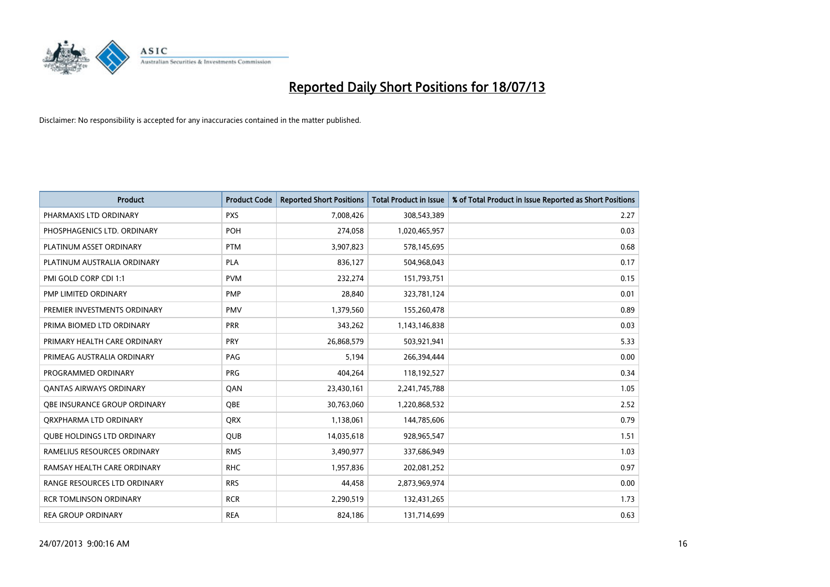

| <b>Product</b>                    | <b>Product Code</b> | <b>Reported Short Positions</b> | <b>Total Product in Issue</b> | % of Total Product in Issue Reported as Short Positions |
|-----------------------------------|---------------------|---------------------------------|-------------------------------|---------------------------------------------------------|
| PHARMAXIS LTD ORDINARY            | <b>PXS</b>          | 7,008,426                       | 308,543,389                   | 2.27                                                    |
| PHOSPHAGENICS LTD. ORDINARY       | <b>POH</b>          | 274,058                         | 1,020,465,957                 | 0.03                                                    |
| PLATINUM ASSET ORDINARY           | <b>PTM</b>          | 3,907,823                       | 578,145,695                   | 0.68                                                    |
| PLATINUM AUSTRALIA ORDINARY       | <b>PLA</b>          | 836,127                         | 504,968,043                   | 0.17                                                    |
| PMI GOLD CORP CDI 1:1             | <b>PVM</b>          | 232,274                         | 151,793,751                   | 0.15                                                    |
| PMP LIMITED ORDINARY              | <b>PMP</b>          | 28,840                          | 323,781,124                   | 0.01                                                    |
| PREMIER INVESTMENTS ORDINARY      | <b>PMV</b>          | 1,379,560                       | 155,260,478                   | 0.89                                                    |
| PRIMA BIOMED LTD ORDINARY         | <b>PRR</b>          | 343,262                         | 1,143,146,838                 | 0.03                                                    |
| PRIMARY HEALTH CARE ORDINARY      | <b>PRY</b>          | 26,868,579                      | 503,921,941                   | 5.33                                                    |
| PRIMEAG AUSTRALIA ORDINARY        | PAG                 | 5,194                           | 266,394,444                   | 0.00                                                    |
| PROGRAMMED ORDINARY               | <b>PRG</b>          | 404,264                         | 118,192,527                   | 0.34                                                    |
| OANTAS AIRWAYS ORDINARY           | QAN                 | 23,430,161                      | 2,241,745,788                 | 1.05                                                    |
| OBE INSURANCE GROUP ORDINARY      | <b>OBE</b>          | 30,763,060                      | 1,220,868,532                 | 2.52                                                    |
| ORXPHARMA LTD ORDINARY            | <b>QRX</b>          | 1,138,061                       | 144,785,606                   | 0.79                                                    |
| <b>QUBE HOLDINGS LTD ORDINARY</b> | QUB                 | 14,035,618                      | 928,965,547                   | 1.51                                                    |
| RAMELIUS RESOURCES ORDINARY       | <b>RMS</b>          | 3,490,977                       | 337,686,949                   | 1.03                                                    |
| RAMSAY HEALTH CARE ORDINARY       | <b>RHC</b>          | 1,957,836                       | 202,081,252                   | 0.97                                                    |
| RANGE RESOURCES LTD ORDINARY      | <b>RRS</b>          | 44,458                          | 2,873,969,974                 | 0.00                                                    |
| <b>RCR TOMLINSON ORDINARY</b>     | <b>RCR</b>          | 2,290,519                       | 132,431,265                   | 1.73                                                    |
| <b>REA GROUP ORDINARY</b>         | <b>REA</b>          | 824,186                         | 131,714,699                   | 0.63                                                    |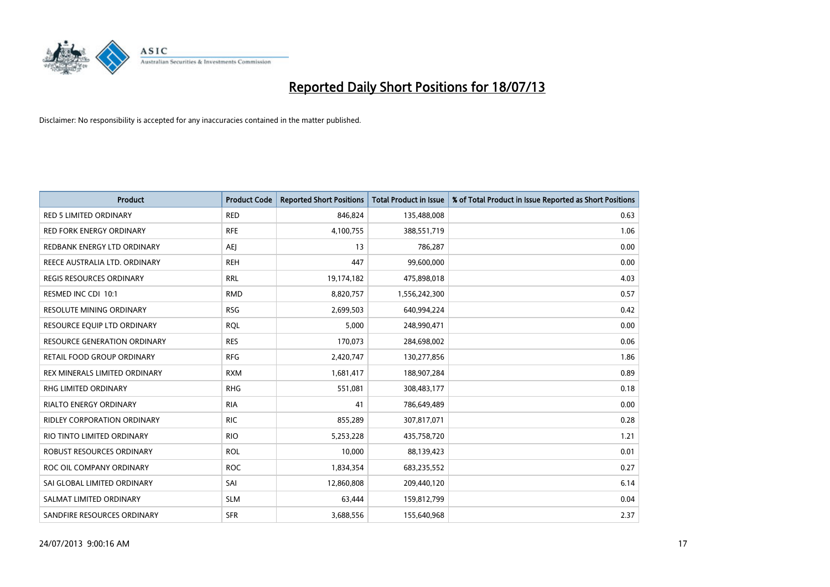

| <b>Product</b>                      | <b>Product Code</b> | <b>Reported Short Positions</b> | <b>Total Product in Issue</b> | % of Total Product in Issue Reported as Short Positions |
|-------------------------------------|---------------------|---------------------------------|-------------------------------|---------------------------------------------------------|
| <b>RED 5 LIMITED ORDINARY</b>       | <b>RED</b>          | 846,824                         | 135,488,008                   | 0.63                                                    |
| <b>RED FORK ENERGY ORDINARY</b>     | <b>RFE</b>          | 4,100,755                       | 388,551,719                   | 1.06                                                    |
| REDBANK ENERGY LTD ORDINARY         | AEJ                 | 13                              | 786,287                       | 0.00                                                    |
| REECE AUSTRALIA LTD. ORDINARY       | <b>REH</b>          | 447                             | 99,600,000                    | 0.00                                                    |
| <b>REGIS RESOURCES ORDINARY</b>     | <b>RRL</b>          | 19,174,182                      | 475,898,018                   | 4.03                                                    |
| RESMED INC CDI 10:1                 | <b>RMD</b>          | 8,820,757                       | 1,556,242,300                 | 0.57                                                    |
| <b>RESOLUTE MINING ORDINARY</b>     | <b>RSG</b>          | 2,699,503                       | 640,994,224                   | 0.42                                                    |
| RESOURCE EQUIP LTD ORDINARY         | <b>RQL</b>          | 5,000                           | 248,990,471                   | 0.00                                                    |
| <b>RESOURCE GENERATION ORDINARY</b> | <b>RES</b>          | 170,073                         | 284,698,002                   | 0.06                                                    |
| <b>RETAIL FOOD GROUP ORDINARY</b>   | <b>RFG</b>          | 2,420,747                       | 130,277,856                   | 1.86                                                    |
| REX MINERALS LIMITED ORDINARY       | <b>RXM</b>          | 1,681,417                       | 188,907,284                   | 0.89                                                    |
| RHG LIMITED ORDINARY                | <b>RHG</b>          | 551,081                         | 308,483,177                   | 0.18                                                    |
| <b>RIALTO ENERGY ORDINARY</b>       | <b>RIA</b>          | 41                              | 786,649,489                   | 0.00                                                    |
| <b>RIDLEY CORPORATION ORDINARY</b>  | <b>RIC</b>          | 855,289                         | 307,817,071                   | 0.28                                                    |
| RIO TINTO LIMITED ORDINARY          | <b>RIO</b>          | 5,253,228                       | 435,758,720                   | 1.21                                                    |
| ROBUST RESOURCES ORDINARY           | <b>ROL</b>          | 10,000                          | 88,139,423                    | 0.01                                                    |
| ROC OIL COMPANY ORDINARY            | <b>ROC</b>          | 1,834,354                       | 683,235,552                   | 0.27                                                    |
| SAI GLOBAL LIMITED ORDINARY         | SAI                 | 12,860,808                      | 209,440,120                   | 6.14                                                    |
| SALMAT LIMITED ORDINARY             | <b>SLM</b>          | 63,444                          | 159,812,799                   | 0.04                                                    |
| SANDFIRE RESOURCES ORDINARY         | <b>SFR</b>          | 3,688,556                       | 155,640,968                   | 2.37                                                    |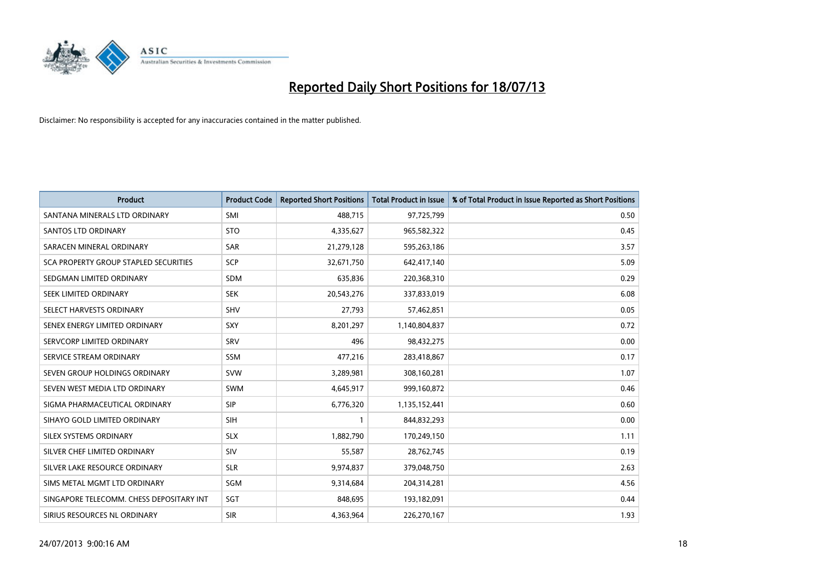

| <b>Product</b>                           | <b>Product Code</b> | <b>Reported Short Positions</b> | <b>Total Product in Issue</b> | % of Total Product in Issue Reported as Short Positions |
|------------------------------------------|---------------------|---------------------------------|-------------------------------|---------------------------------------------------------|
| SANTANA MINERALS LTD ORDINARY            | SMI                 | 488,715                         | 97,725,799                    | 0.50                                                    |
| SANTOS LTD ORDINARY                      | <b>STO</b>          | 4,335,627                       | 965,582,322                   | 0.45                                                    |
| SARACEN MINERAL ORDINARY                 | <b>SAR</b>          | 21,279,128                      | 595,263,186                   | 3.57                                                    |
| SCA PROPERTY GROUP STAPLED SECURITIES    | <b>SCP</b>          | 32,671,750                      | 642,417,140                   | 5.09                                                    |
| SEDGMAN LIMITED ORDINARY                 | <b>SDM</b>          | 635,836                         | 220,368,310                   | 0.29                                                    |
| SEEK LIMITED ORDINARY                    | <b>SEK</b>          | 20,543,276                      | 337,833,019                   | 6.08                                                    |
| SELECT HARVESTS ORDINARY                 | <b>SHV</b>          | 27,793                          | 57,462,851                    | 0.05                                                    |
| SENEX ENERGY LIMITED ORDINARY            | <b>SXY</b>          | 8,201,297                       | 1,140,804,837                 | 0.72                                                    |
| SERVCORP LIMITED ORDINARY                | SRV                 | 496                             | 98,432,275                    | 0.00                                                    |
| SERVICE STREAM ORDINARY                  | SSM                 | 477,216                         | 283,418,867                   | 0.17                                                    |
| SEVEN GROUP HOLDINGS ORDINARY            | <b>SVW</b>          | 3,289,981                       | 308,160,281                   | 1.07                                                    |
| SEVEN WEST MEDIA LTD ORDINARY            | <b>SWM</b>          | 4,645,917                       | 999,160,872                   | 0.46                                                    |
| SIGMA PHARMACEUTICAL ORDINARY            | <b>SIP</b>          | 6,776,320                       | 1,135,152,441                 | 0.60                                                    |
| SIHAYO GOLD LIMITED ORDINARY             | SIH                 | 1                               | 844,832,293                   | 0.00                                                    |
| SILEX SYSTEMS ORDINARY                   | <b>SLX</b>          | 1,882,790                       | 170,249,150                   | 1.11                                                    |
| SILVER CHEF LIMITED ORDINARY             | SIV                 | 55,587                          | 28,762,745                    | 0.19                                                    |
| SILVER LAKE RESOURCE ORDINARY            | <b>SLR</b>          | 9,974,837                       | 379,048,750                   | 2.63                                                    |
| SIMS METAL MGMT LTD ORDINARY             | SGM                 | 9,314,684                       | 204,314,281                   | 4.56                                                    |
| SINGAPORE TELECOMM. CHESS DEPOSITARY INT | SGT                 | 848,695                         | 193,182,091                   | 0.44                                                    |
| SIRIUS RESOURCES NL ORDINARY             | <b>SIR</b>          | 4,363,964                       | 226,270,167                   | 1.93                                                    |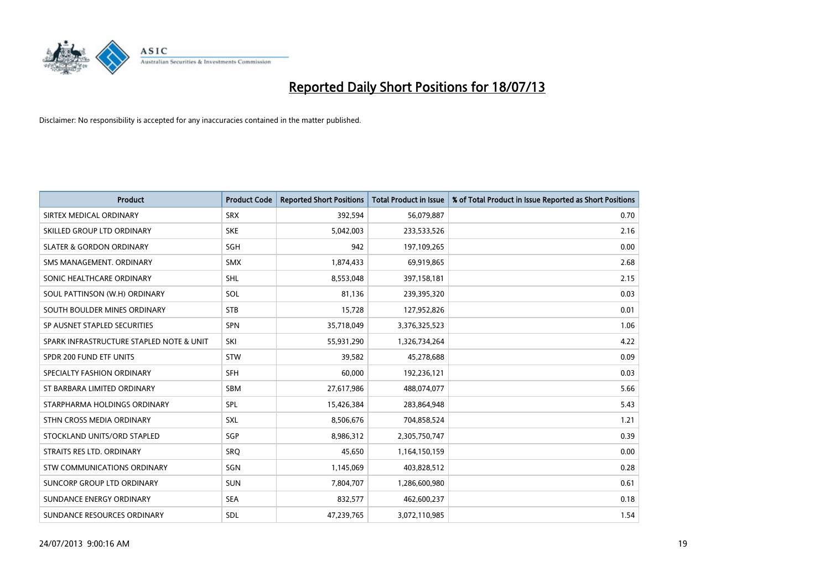

| <b>Product</b>                           | <b>Product Code</b> | <b>Reported Short Positions</b> | <b>Total Product in Issue</b> | % of Total Product in Issue Reported as Short Positions |
|------------------------------------------|---------------------|---------------------------------|-------------------------------|---------------------------------------------------------|
| SIRTEX MEDICAL ORDINARY                  | <b>SRX</b>          | 392,594                         | 56,079,887                    | 0.70                                                    |
| SKILLED GROUP LTD ORDINARY               | <b>SKE</b>          | 5,042,003                       | 233,533,526                   | 2.16                                                    |
| <b>SLATER &amp; GORDON ORDINARY</b>      | SGH                 | 942                             | 197,109,265                   | 0.00                                                    |
| SMS MANAGEMENT. ORDINARY                 | <b>SMX</b>          | 1,874,433                       | 69,919,865                    | 2.68                                                    |
| SONIC HEALTHCARE ORDINARY                | <b>SHL</b>          | 8,553,048                       | 397,158,181                   | 2.15                                                    |
| SOUL PATTINSON (W.H) ORDINARY            | SOL                 | 81,136                          | 239,395,320                   | 0.03                                                    |
| SOUTH BOULDER MINES ORDINARY             | <b>STB</b>          | 15,728                          | 127,952,826                   | 0.01                                                    |
| SP AUSNET STAPLED SECURITIES             | SPN                 | 35,718,049                      | 3,376,325,523                 | 1.06                                                    |
| SPARK INFRASTRUCTURE STAPLED NOTE & UNIT | SKI                 | 55,931,290                      | 1,326,734,264                 | 4.22                                                    |
| SPDR 200 FUND ETF UNITS                  | <b>STW</b>          | 39,582                          | 45,278,688                    | 0.09                                                    |
| SPECIALTY FASHION ORDINARY               | <b>SFH</b>          | 60,000                          | 192,236,121                   | 0.03                                                    |
| ST BARBARA LIMITED ORDINARY              | <b>SBM</b>          | 27,617,986                      | 488,074,077                   | 5.66                                                    |
| STARPHARMA HOLDINGS ORDINARY             | <b>SPL</b>          | 15,426,384                      | 283,864,948                   | 5.43                                                    |
| STHN CROSS MEDIA ORDINARY                | <b>SXL</b>          | 8,506,676                       | 704,858,524                   | 1.21                                                    |
| STOCKLAND UNITS/ORD STAPLED              | SGP                 | 8,986,312                       | 2,305,750,747                 | 0.39                                                    |
| STRAITS RES LTD. ORDINARY                | <b>SRQ</b>          | 45,650                          | 1,164,150,159                 | 0.00                                                    |
| STW COMMUNICATIONS ORDINARY              | SGN                 | 1,145,069                       | 403,828,512                   | 0.28                                                    |
| SUNCORP GROUP LTD ORDINARY               | <b>SUN</b>          | 7,804,707                       | 1,286,600,980                 | 0.61                                                    |
| SUNDANCE ENERGY ORDINARY                 | <b>SEA</b>          | 832,577                         | 462,600,237                   | 0.18                                                    |
| SUNDANCE RESOURCES ORDINARY              | SDL                 | 47,239,765                      | 3,072,110,985                 | 1.54                                                    |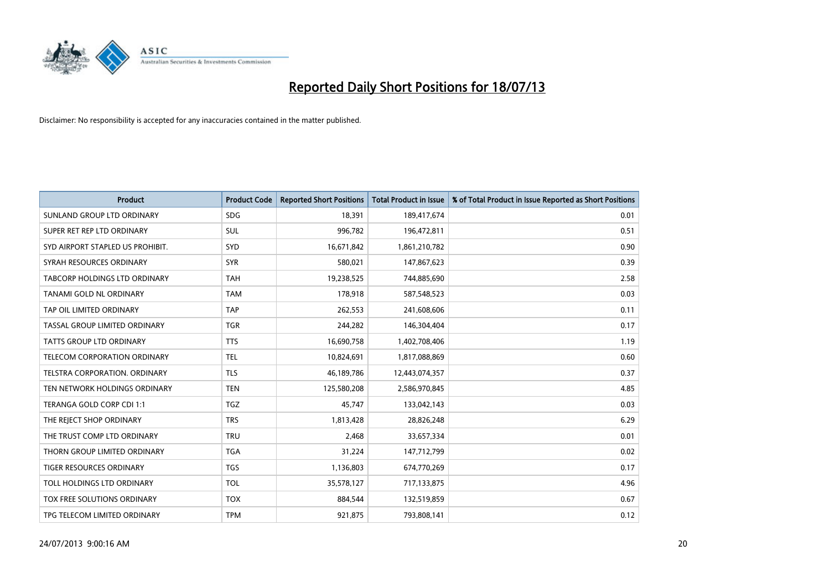

| <b>Product</b>                      | <b>Product Code</b> | <b>Reported Short Positions</b> | <b>Total Product in Issue</b> | % of Total Product in Issue Reported as Short Positions |
|-------------------------------------|---------------------|---------------------------------|-------------------------------|---------------------------------------------------------|
| SUNLAND GROUP LTD ORDINARY          | <b>SDG</b>          | 18,391                          | 189,417,674                   | 0.01                                                    |
| SUPER RET REP LTD ORDINARY          | SUL                 | 996,782                         | 196,472,811                   | 0.51                                                    |
| SYD AIRPORT STAPLED US PROHIBIT.    | SYD                 | 16,671,842                      | 1,861,210,782                 | 0.90                                                    |
| SYRAH RESOURCES ORDINARY            | <b>SYR</b>          | 580,021                         | 147,867,623                   | 0.39                                                    |
| TABCORP HOLDINGS LTD ORDINARY       | <b>TAH</b>          | 19,238,525                      | 744,885,690                   | 2.58                                                    |
| TANAMI GOLD NL ORDINARY             | <b>TAM</b>          | 178,918                         | 587,548,523                   | 0.03                                                    |
| TAP OIL LIMITED ORDINARY            | <b>TAP</b>          | 262,553                         | 241,608,606                   | 0.11                                                    |
| TASSAL GROUP LIMITED ORDINARY       | <b>TGR</b>          | 244,282                         | 146,304,404                   | 0.17                                                    |
| <b>TATTS GROUP LTD ORDINARY</b>     | <b>TTS</b>          | 16,690,758                      | 1,402,708,406                 | 1.19                                                    |
| <b>TELECOM CORPORATION ORDINARY</b> | <b>TEL</b>          | 10,824,691                      | 1,817,088,869                 | 0.60                                                    |
| TELSTRA CORPORATION. ORDINARY       | <b>TLS</b>          | 46,189,786                      | 12,443,074,357                | 0.37                                                    |
| TEN NETWORK HOLDINGS ORDINARY       | <b>TEN</b>          | 125,580,208                     | 2,586,970,845                 | 4.85                                                    |
| TERANGA GOLD CORP CDI 1:1           | <b>TGZ</b>          | 45,747                          | 133,042,143                   | 0.03                                                    |
| THE REJECT SHOP ORDINARY            | <b>TRS</b>          | 1,813,428                       | 28,826,248                    | 6.29                                                    |
| THE TRUST COMP LTD ORDINARY         | <b>TRU</b>          | 2,468                           | 33,657,334                    | 0.01                                                    |
| THORN GROUP LIMITED ORDINARY        | <b>TGA</b>          | 31,224                          | 147,712,799                   | 0.02                                                    |
| TIGER RESOURCES ORDINARY            | <b>TGS</b>          | 1,136,803                       | 674,770,269                   | 0.17                                                    |
| TOLL HOLDINGS LTD ORDINARY          | <b>TOL</b>          | 35,578,127                      | 717,133,875                   | 4.96                                                    |
| TOX FREE SOLUTIONS ORDINARY         | <b>TOX</b>          | 884,544                         | 132,519,859                   | 0.67                                                    |
| TPG TELECOM LIMITED ORDINARY        | <b>TPM</b>          | 921,875                         | 793,808,141                   | 0.12                                                    |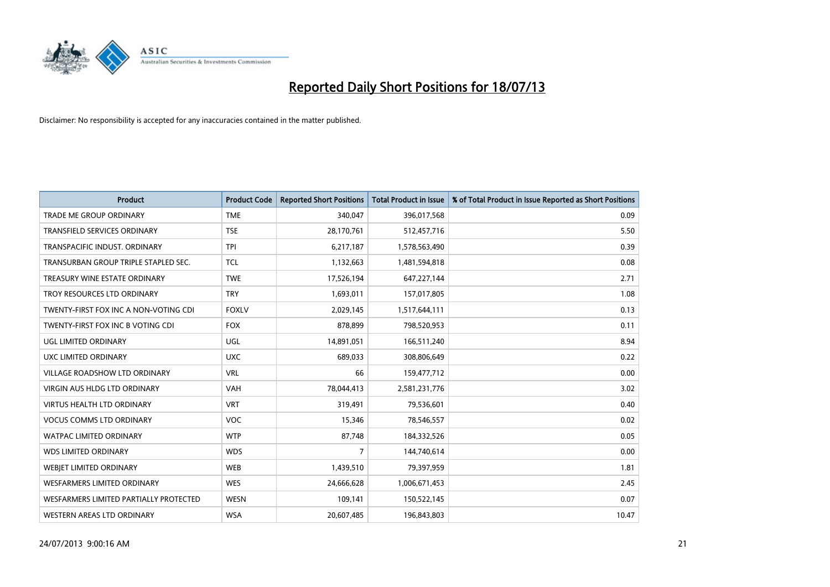

| <b>Product</b>                         | <b>Product Code</b> | <b>Reported Short Positions</b> | <b>Total Product in Issue</b> | % of Total Product in Issue Reported as Short Positions |
|----------------------------------------|---------------------|---------------------------------|-------------------------------|---------------------------------------------------------|
| <b>TRADE ME GROUP ORDINARY</b>         | <b>TME</b>          | 340,047                         | 396,017,568                   | 0.09                                                    |
| TRANSFIELD SERVICES ORDINARY           | <b>TSE</b>          | 28,170,761                      | 512,457,716                   | 5.50                                                    |
| TRANSPACIFIC INDUST, ORDINARY          | <b>TPI</b>          | 6,217,187                       | 1,578,563,490                 | 0.39                                                    |
| TRANSURBAN GROUP TRIPLE STAPLED SEC.   | <b>TCL</b>          | 1,132,663                       | 1,481,594,818                 | 0.08                                                    |
| TREASURY WINE ESTATE ORDINARY          | <b>TWE</b>          | 17,526,194                      | 647,227,144                   | 2.71                                                    |
| TROY RESOURCES LTD ORDINARY            | <b>TRY</b>          | 1,693,011                       | 157,017,805                   | 1.08                                                    |
| TWENTY-FIRST FOX INC A NON-VOTING CDI  | <b>FOXLV</b>        | 2,029,145                       | 1,517,644,111                 | 0.13                                                    |
| TWENTY-FIRST FOX INC B VOTING CDI      | <b>FOX</b>          | 878,899                         | 798,520,953                   | 0.11                                                    |
| UGL LIMITED ORDINARY                   | UGL                 | 14,891,051                      | 166,511,240                   | 8.94                                                    |
| <b>UXC LIMITED ORDINARY</b>            | <b>UXC</b>          | 689,033                         | 308,806,649                   | 0.22                                                    |
| VILLAGE ROADSHOW LTD ORDINARY          | <b>VRL</b>          | 66                              | 159,477,712                   | 0.00                                                    |
| <b>VIRGIN AUS HLDG LTD ORDINARY</b>    | <b>VAH</b>          | 78,044,413                      | 2,581,231,776                 | 3.02                                                    |
| VIRTUS HEALTH LTD ORDINARY             | <b>VRT</b>          | 319,491                         | 79,536,601                    | 0.40                                                    |
| <b>VOCUS COMMS LTD ORDINARY</b>        | VOC                 | 15,346                          | 78,546,557                    | 0.02                                                    |
| <b>WATPAC LIMITED ORDINARY</b>         | <b>WTP</b>          | 87,748                          | 184,332,526                   | 0.05                                                    |
| <b>WDS LIMITED ORDINARY</b>            | <b>WDS</b>          | 7                               | 144,740,614                   | 0.00                                                    |
| WEBIET LIMITED ORDINARY                | <b>WEB</b>          | 1,439,510                       | 79,397,959                    | 1.81                                                    |
| <b>WESFARMERS LIMITED ORDINARY</b>     | <b>WES</b>          | 24,666,628                      | 1,006,671,453                 | 2.45                                                    |
| WESFARMERS LIMITED PARTIALLY PROTECTED | <b>WESN</b>         | 109,141                         | 150,522,145                   | 0.07                                                    |
| WESTERN AREAS LTD ORDINARY             | <b>WSA</b>          | 20,607,485                      | 196,843,803                   | 10.47                                                   |